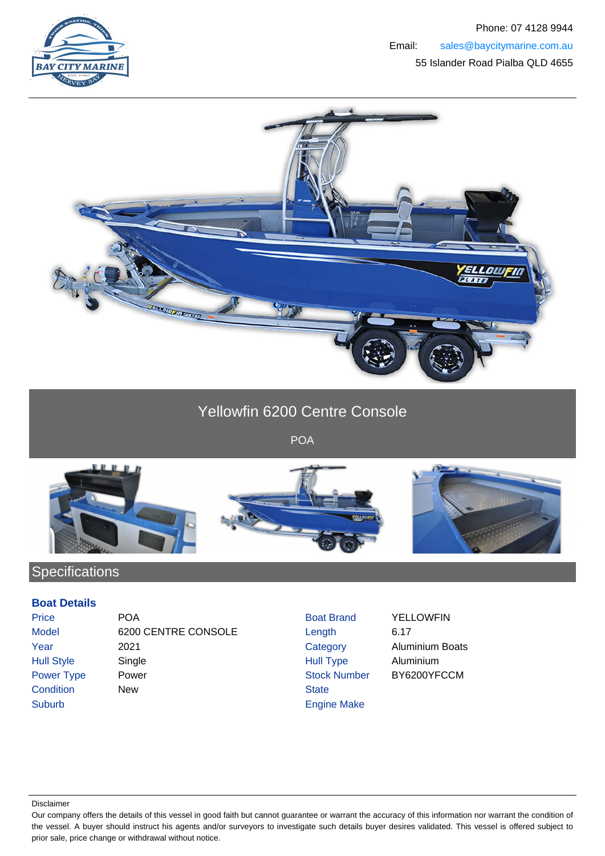



## Yellowfin 6200 Centre Console

POA



## Specifications

## **Boat Details**

Price **POA** Boat Brand YELLOWFIN Model 6200 CENTRE CONSOLE Length 6.17 Year 2021 Category Aluminium Boats Hull Style Single Single Single Rull Type Aluminium Power Type Power Number BY6200YFCCM Condition New New State Suburb **Engine Make** 

Disclaimer

Our company offers the details of this vessel in good faith but cannot guarantee or warrant the accuracy of this information nor warrant the condition of the vessel. A buyer should instruct his agents and/or surveyors to investigate such details buyer desires validated. This vessel is offered subject to prior sale, price change or withdrawal without notice.